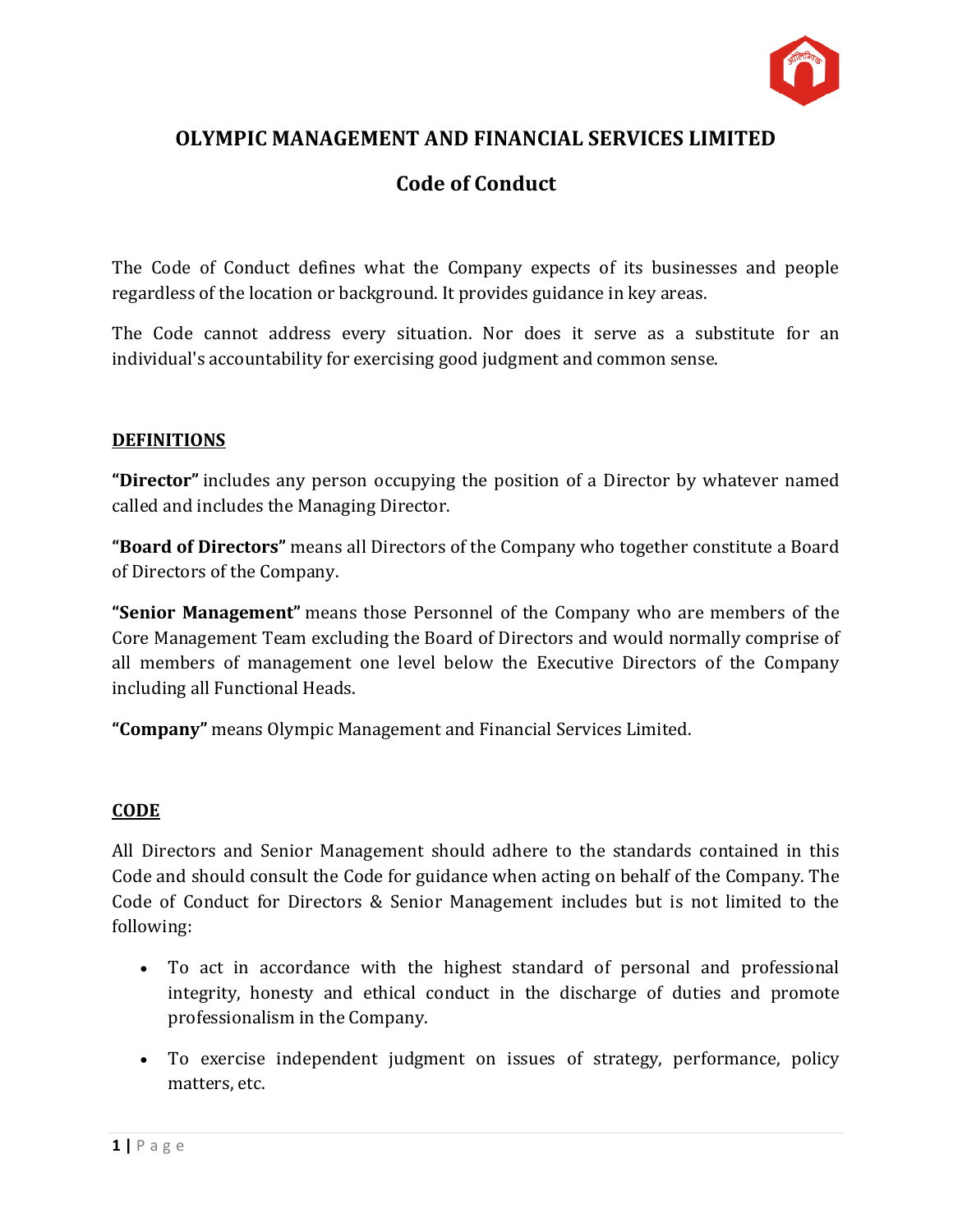

# **OLYMPIC MANAGEMENT AND FINANCIAL SERVICES LIMITED**

## **Code of Conduct**

The Code of Conduct defines what the Company expects of its businesses and people regardless of the location or background. It provides guidance in key areas.

The Code cannot address every situation. Nor does it serve as a substitute for an individual's accountability for exercising good judgment and common sense.

#### **DEFINITIONS**

**"Director"** includes any person occupying the position of a Director by whatever named called and includes the Managing Director.

**"Board of Directors"** means all Directors of the Company who together constitute a Board of Directors of the Company.

**"Senior Management"** means those Personnel of the Company who are members of the Core Management Team excluding the Board of Directors and would normally comprise of all members of management one level below the Executive Directors of the Company including all Functional Heads.

**"Company"** means Olympic Management and Financial Services Limited.

#### **CODE**

All Directors and Senior Management should adhere to the standards contained in this Code and should consult the Code for guidance when acting on behalf of the Company. The Code of Conduct for Directors & Senior Management includes but is not limited to the following:

- To act in accordance with the highest standard of personal and professional integrity, honesty and ethical conduct in the discharge of duties and promote professionalism in the Company.
- To exercise independent judgment on issues of strategy, performance, policy matters, etc.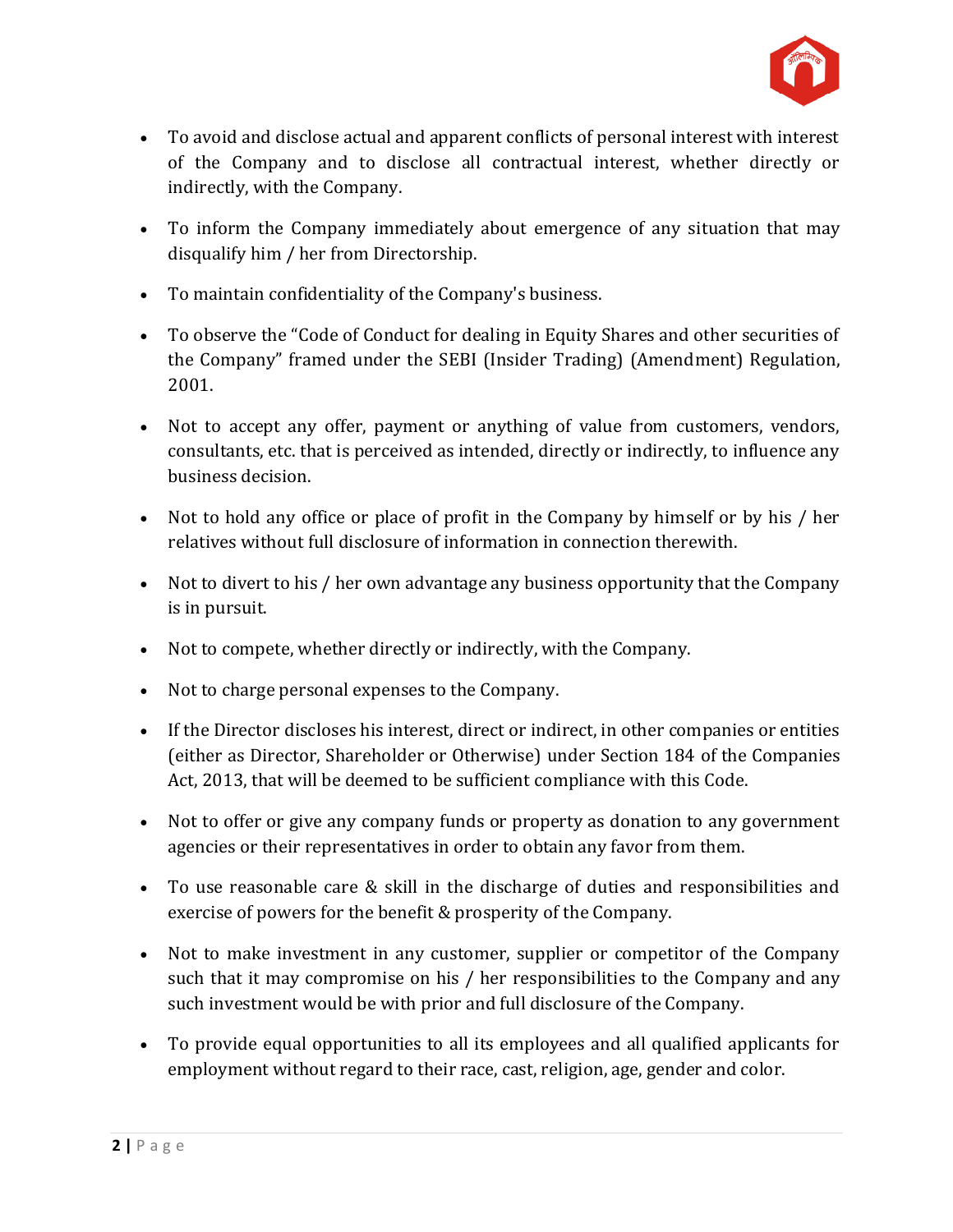

- To avoid and disclose actual and apparent conflicts of personal interest with interest of the Company and to disclose all contractual interest, whether directly or indirectly, with the Company.
- To inform the Company immediately about emergence of any situation that may disqualify him / her from Directorship.
- To maintain confidentiality of the Company's business.
- To observe the "Code of Conduct for dealing in Equity Shares and other securities of the Company" framed under the SEBI (Insider Trading) (Amendment) Regulation, 2001.
- Not to accept any offer, payment or anything of value from customers, vendors, consultants, etc. that is perceived as intended, directly or indirectly, to influence any business decision.
- Not to hold any office or place of profit in the Company by himself or by his / her relatives without full disclosure of information in connection therewith.
- Not to divert to his / her own advantage any business opportunity that the Company is in pursuit.
- Not to compete, whether directly or indirectly, with the Company.
- Not to charge personal expenses to the Company.
- If the Director discloses his interest, direct or indirect, in other companies or entities (either as Director, Shareholder or Otherwise) under Section 184 of the Companies Act, 2013, that will be deemed to be sufficient compliance with this Code.
- Not to offer or give any company funds or property as donation to any government agencies or their representatives in order to obtain any favor from them.
- To use reasonable care & skill in the discharge of duties and responsibilities and exercise of powers for the benefit & prosperity of the Company.
- Not to make investment in any customer, supplier or competitor of the Company such that it may compromise on his / her responsibilities to the Company and any such investment would be with prior and full disclosure of the Company.
- To provide equal opportunities to all its employees and all qualified applicants for employment without regard to their race, cast, religion, age, gender and color.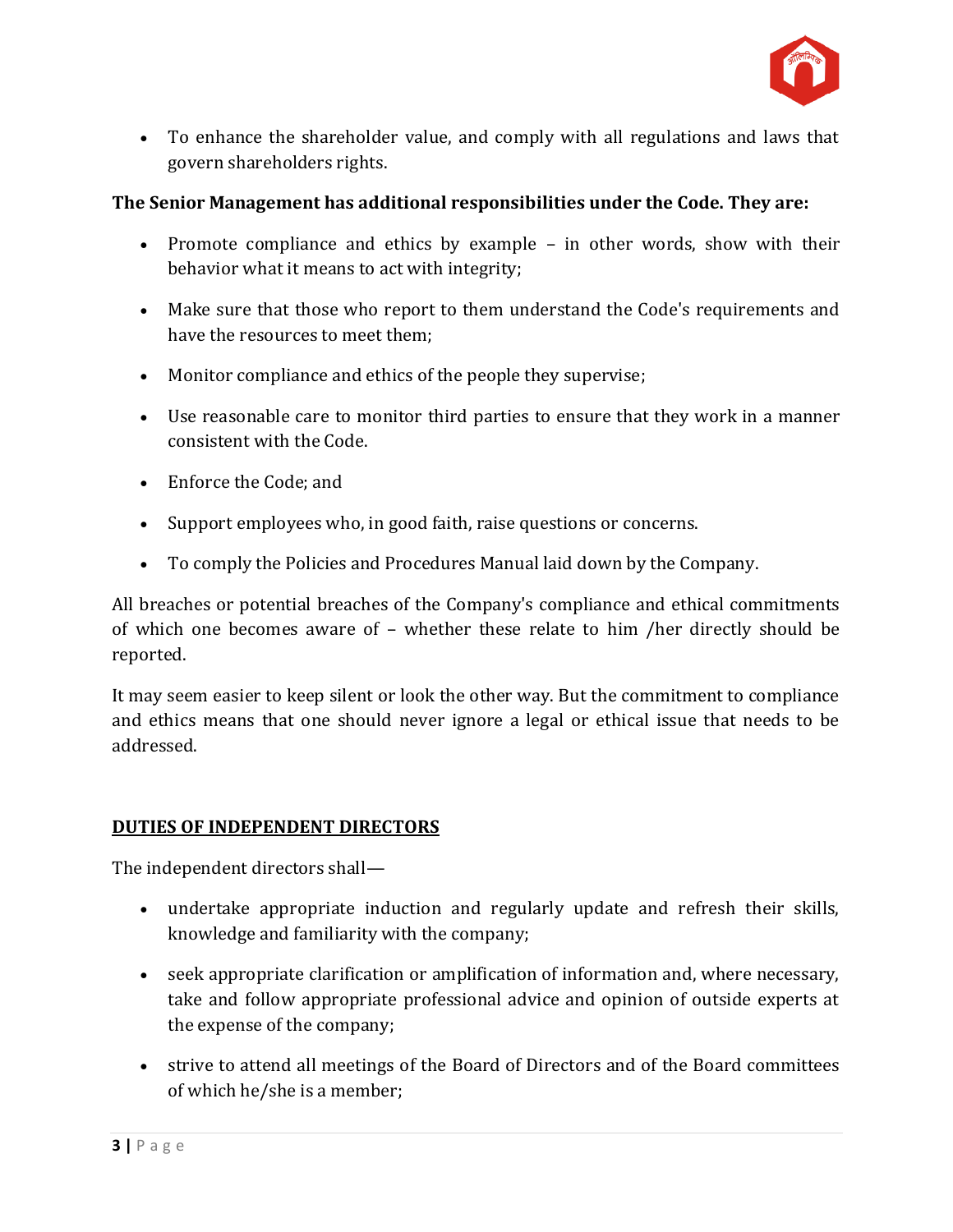

 To enhance the shareholder value, and comply with all regulations and laws that govern shareholders rights.

### **The Senior Management has additional responsibilities under the Code. They are:**

- Promote compliance and ethics by example in other words, show with their behavior what it means to act with integrity;
- Make sure that those who report to them understand the Code's requirements and have the resources to meet them;
- Monitor compliance and ethics of the people they supervise;
- Use reasonable care to monitor third parties to ensure that they work in a manner consistent with the Code.
- Enforce the Code; and
- Support employees who, in good faith, raise questions or concerns.
- To comply the Policies and Procedures Manual laid down by the Company.

All breaches or potential breaches of the Company's compliance and ethical commitments of which one becomes aware of – whether these relate to him /her directly should be reported.

It may seem easier to keep silent or look the other way. But the commitment to compliance and ethics means that one should never ignore a legal or ethical issue that needs to be addressed.

#### **DUTIES OF INDEPENDENT DIRECTORS**

The independent directors shall—

- undertake appropriate induction and regularly update and refresh their skills, knowledge and familiarity with the company;
- seek appropriate clarification or amplification of information and, where necessary, take and follow appropriate professional advice and opinion of outside experts at the expense of the company;
- strive to attend all meetings of the Board of Directors and of the Board committees of which he/she is a member;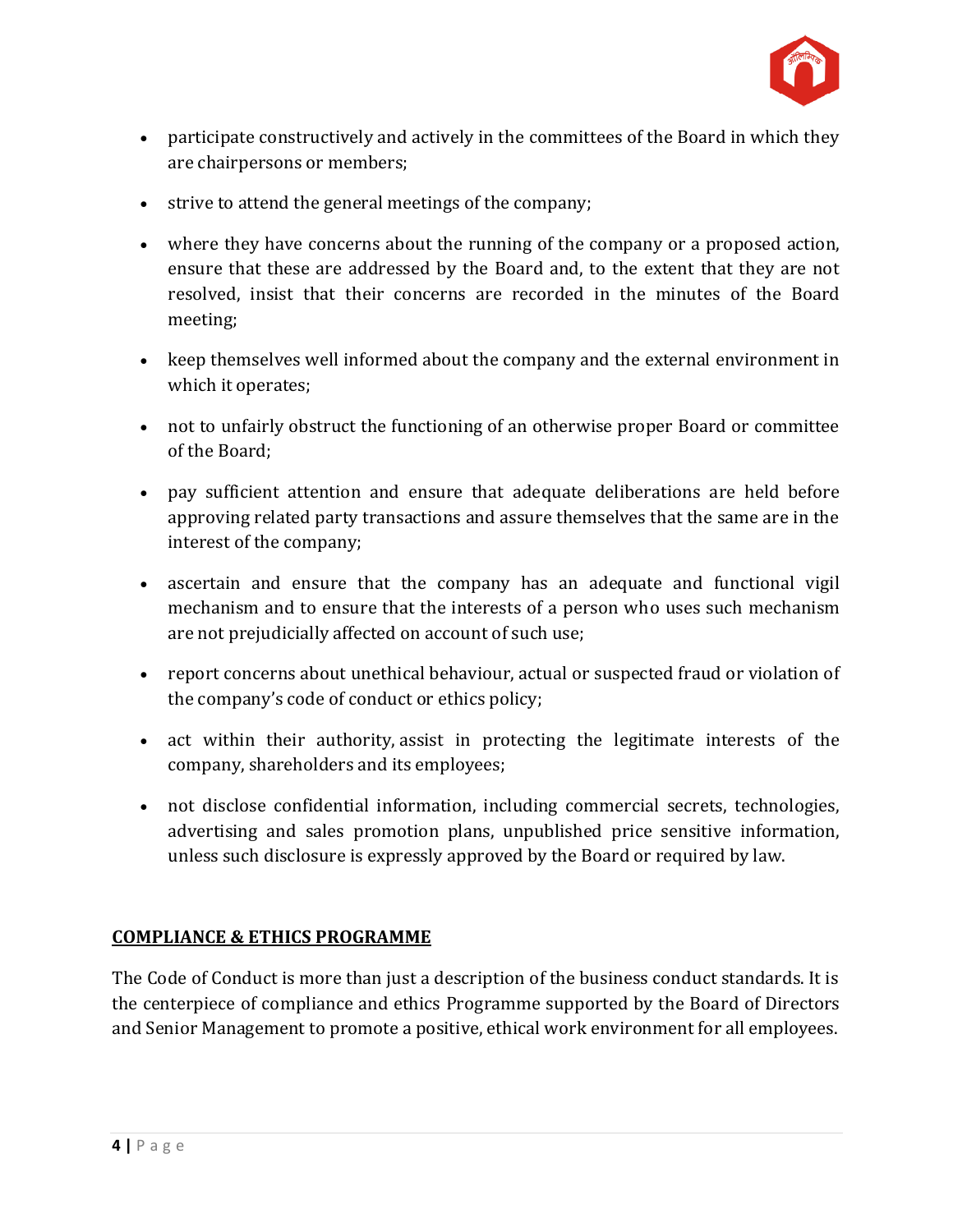

- participate constructively and actively in the committees of the Board in which they are chairpersons or members;
- strive to attend the general meetings of the company;
- where they have concerns about the running of the company or a proposed action, ensure that these are addressed by the Board and, to the extent that they are not resolved, insist that their concerns are recorded in the minutes of the Board meeting;
- keep themselves well informed about the company and the external environment in which it operates;
- not to unfairly obstruct the functioning of an otherwise proper Board or committee of the Board;
- pay sufficient attention and ensure that adequate deliberations are held before approving related party transactions and assure themselves that the same are in the interest of the company;
- ascertain and ensure that the company has an adequate and functional vigil mechanism and to ensure that the interests of a person who uses such mechanism are not prejudicially affected on account of such use;
- report concerns about unethical behaviour, actual or suspected fraud or violation of the company's code of conduct or ethics policy;
- act within their authority, assist in protecting the legitimate interests of the company, shareholders and its employees;
- not disclose confidential information, including commercial secrets, technologies, advertising and sales promotion plans, unpublished price sensitive information, unless such disclosure is expressly approved by the Board or required by law.

## **COMPLIANCE & ETHICS PROGRAMME**

The Code of Conduct is more than just a description of the business conduct standards. It is the centerpiece of compliance and ethics Programme supported by the Board of Directors and Senior Management to promote a positive, ethical work environment for all employees.